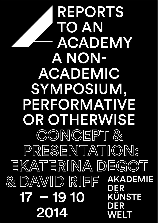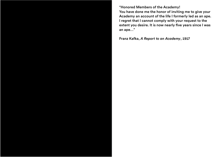69 68 "Honored Members of the Academy! You have done me the honor of inviting me to give your Academy an account of the life I formerly led as an ape. I regret that I cannot comply with your request to the extent you desire. It is now nearly five years since I was an ape…"

Franz Kafka, *A Report to an Academy*, 1917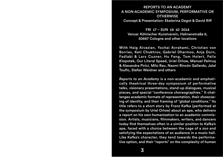#### REPORTS TO AN ACADEMY A NON-ACADEMIC SYMPOSIUM, PERFORMATIVE OR **OTHERWISE** Concept & Presentation: Ekaterina Degot & David Rif

FRI 17 – SUN 19 10 2014 Venue: Kölnischer Kunstverein, Hahnenstraße 6, 50667 Cologne and other locations

With Haig Aivazian, Yochai Avrahami, Christian von Borries, Keti Chukhrov, Gabriel Dharmoo, Anja Dorn, Fadlabi & Lars Cuzner, Hu Fang, Tom Holert, Felix Klopotek, Our Literal Speed, Uriel Orlow, Manuel Pelmuş & Alexandra Pirici, Milo Rau, Naomi Rincón Gallardo, Jalal Toufic, Stefan Weidner and others

*Reports to an Academy* is a non-academic and emphatically theatrical three-day symposium of performative talks, visionary presentations, stand-up dialogues, musical pieces, and special "conference choreographies." It challenges academic formats of representation, their showcasing of identity, and their framing of "global conditions." Its title refers to a short story by Franz Kafka (performed at the symposium by Uriel Orlow) about an ape, who delivers a report on his own humanization to an academic commission. Artists, musicians, filmmakers, writers, and dancers today find themselves often in a similar position to Kafka's ape, faced with a choice between the cage of a zoo and satisfying the expectations of an audience in a music hall. Like Kafka's character, they tend towards the performative option, and their "reports" on the complexity of human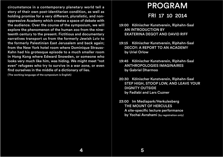circumstance in a contemporary planetary world tell a  $\quad \blacksquare$ story of their own post-identitarian condition, as well as holding promise for a very different, pluralistic, and nonoppressive Academy which creates a space of debate with the audience. Over the course of the symposium, we will explore the phenomenon of the human zoo from the nineteenth century to the present. Fictitious and documentary narratives transport us from the formerly Jewish Lviv to the formerly Palestinian East Jerusalem and back again; from the New York hotel room where Dominique Strauss-Kahn had his grotesque episode to a much smaller room in Hong Kong where Edward Snowden, or someone who looks very much like him, was hiding. We might meet "not even" refugees who try to survive in a war zone, or even find ourselves in the middle of a dictionary of lies.

(The working language of the symposium is English)

## PROGRAM FRI 17 10 2014

19:00 Kölnischer Kunstverein, Riphahn-Saal AN INTRODUCTION BY EKATERINA DEGOT AND DAVID RIFF

- 19:15 Kölnischer Kunstverein, Riphahn-Saal DECOY: A REPORT TO AN ACADEMY by Uriel Orlow
- 19:45 Kölnischer Kunstverein, Riphahn-Saal ANTHROPOLOGIES IMAGINAIRES by Gabriel Dharmoo
- 20:30 Kölnischer Kunstverein, Riphahn-Saal STEP HIGH, STOOP LOW, AND LEAVE YOUR DIGNITY OUTSIDE by Fadlabi and Lars Cuzner
- 23:00 Im Mediapark/Herkulesberg THE MOUNT OF HERCULES A site-specific lecture performance by Yochai Avrahami (by registration only)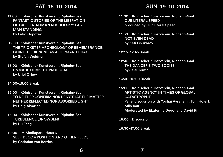### SAT 18 10 2014

- 11:00 Kölnischer Kunstverein, Riphahn-Saal FANTASTIC STORIES OF THE LIBERATION OF GALICIA. ROMAN ROSDOLSKY: LAST MAN STANDING by Felix Klopotek
- 12:00 Kölnischer Kunstverein, Riphahn-Saal THE TRICKSTER ARCHEOLOGY OF REMEMBRANCE: GOING TO UKRAINE AS A GERMAN TODAY by Stefan Weidner
- 13:00 Kölnischer Kunstverein, Riphahn-Saal UNMADE FILM: THE PROPOSAL by Uriel Orlow

#### 14:00–15:00 Break

- 15:00 Kölnischer Kunstverein, Riphahn-Saal TO NEITHER CONFIRM NOR DENY THAT THE MATTER NEITHER REFLECTED NOR ABSORBED LIGHT by Haig Aivazian
- 16:00 Kölnischer Kunstverein, Riphahn-Saal TURBULENCE (SNOWDEN) by Hu Fang
- 19:00 Im Mediapark, Haus 6 SELF-DECOMPOSITION AND OTHER FEEDS by Christian von Borries

## 8 10 2014 **SUN 19 10 2014**

- 11:00 Kölnischer Kunstverein, Riphahn-Saal OUR LITERAL SPEED produced by Our Literal Speed
- 11:30 Kölnischer Kunstverein, Riphahn-Saal NOT EVEN DEAD by Keti Chukhrov
- 12:15–12.45 Break
- 12:45 Kölnischer Kunstverein, Riphahn-Saal THE DANCER'S TWO BODIES by Jalal Toufic
- 13:30–15:00 Break
- 15:00 Kölnischer Kunstverein, Riphahn-Saal ARTISTIC AGENCY IN TIMES OF GLOBAL CATASTROPHE Panel discussion with Yochai Avrahami, Tom Holert, Milo Rau Moderated by Ekaterina Degot and David Rif

16:00 Discussion

16:30–17:00 Break

7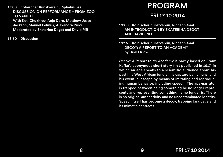17:00 Kölnischer Kunstverein, Riphahn-Saal DISCUSSION ON PERFORMANCE – FROM ZOO TO VARIETÉ With Keti Chukhrov, Anja Dorn, Matthew Jesse Jackson, Manuel Pelmuş, Alexandra Pirici Moderated by Ekaterina Degot and David Rif

18:30 Discussion

# $\overline{\mathsf{e}}$ in, Riphahn-Saal  $\overline{\mathsf{PROGRAM}}$

## FRI 17 10 2014

19:00 Kölnischer Kunstverein, Riphahn-Saal AN INTRODUCTION BY EKATERINA DEGOT AND DAVID RIFF

19:15 Kölnischer Kunstverein, Riphahn-Saal DECOY: A REPORT TO AN ACADEMY by Uriel Orlow

*Decoy: A Report to an Academy* is partly based on Franz Kafka's eponymous short story first published in 1917, in which an ape speaks to a scientific audience about his past in a West African jungle, his capture by humans, and his eventual escape by means of imitating and reproducing human behavior, including speech. The ape-narrator is trapped between being something he no longer represents and representing something he no longer is. There is no original authenticity and no uncontaminated identity. Speech itself has become a decoy, trapping language and its mimetic contracts.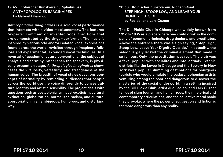#### 19:45 Kölnischer Kunstverein, Riphahn-Saal ANTHROPOLOGIES IMAGINAIRES by Gabriel Dharmoo

*Anthropologies imaginaires* is a solo vocal performance that interacts with a video mockumentary. The featured "experts" comment on invented vocal traditions that are demonstrated by the singer-performer. The music is inspired by various odd and/or isolated vocal expressions found across the world, revisited through imaginary folklore and experimental, extended vocal techniques. In a reversal of academic lecture conventions, the subject of analysis and scrutiny, rather than the speakers, is physically present on stage. *Anthropologies imaginaires* showcases the virtuosity, versatility, and strangeness of the human voice. The breadth of vocal styles questions concepts of normality by reminding audiences that people across the world use the voice differently to convey cultural identity and artistic sensibility. The project deals with questions such as postcolonialism, post-exoticism, cultural extinction, globalization, normalized racism, and cultural appropriation in an ambiguous, humorous, and disturbing way.

#### 59 58 20:30 Kölnischer Kunstverein, Riphahn-Saal STEP HIGH, STOOP LOW, AND LEAVE YOUR DIGNITY OUTSIDE by Fadlabi and Lars Cuzner

The Dill Pickle Club in Chicago was widely known from 1917 to 1935 as a place where one could drink in the company of common criminals, drug dealers, and prostitutes. Above the entrance there was a sign saying, "Step High, Stoop Low, Leave Your Dignity Outside." In actuality, the saloon largely lacked the criminal element that made it so famous. Only the prostitution was real. The club was a fake, popular with socialites and intellectuals – ethnic districts like the Levee in Chicago and the Bowery in New York were popular slumming destinations for bourgeois tourists who would emulate the badass, bohemian artists venturing among the poor and dangerous to discover the mysteries of the social underworld. In a setting inspired by the Dill Pickle Club, artist duo Fadlabi and Lars Cuzner tell us of slum tourism and human zoos, their historical and contemporary articulations, and the collective moral panic they provoke, where the power of suggestion and fiction is far more dangerous than any reality.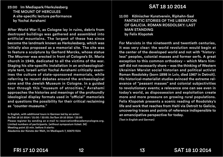23:00 Im Mediapark/Herkulesberg THE MOUNT OF HERCULES A site-specific lecture performance by Yochai Avrahami

After World War II, as Cologne lay in ruins, debris from destroyed buildings was gathered and assembled into artificial mountains. The largest of these has since become the landmark known as Herkulesberg, which was initially also proposed as a memorial site. The site was to feature a sculpture by Gerhard Marcks, whose statue *The Mourner* was erected in front of Cologne's St. Maria church in 1949, dedicated to all the victims of the war. Staging his site-specific installation in an archaeologicalstyle tent, Israeli artist Yochai Avrahami critically examines the culture of state-sponsored memorials, while referring to recent debates around the archaeological zone and the Jewish Museum in Cologne. In a guided tour through this "museum of atrocities," Avrahami approaches the histories and meanings of the profoundly ideological display formats used in "official" memorials and questions the possibility for their critical reclaiming as "counter-museums."

In English, with additional tours in German led by an actor: Sa/Sat 18 10 2014 / 21:00 / 22:00; So/Sun 19 10 2014 / 22:00 Please register by sending an e-mail to reservation@academycologne.org. Limited numbers of participants. (without symposium ticket: 3€) Meeting point 10 min. before it starts: Akademie der Künste der Welt, Im Mediapark 7, 50670 Köln

## 57 56 SAT 18 10 2014

11:00 Kölnischer Kunstverein, Riphahn-Saal FANTASTIC STORIES OF THE LIBERATION OF GALICIA. ROMAN ROSDOLSKY: LAST MAN STANDING by Felix Klopotek

For Marxists in the nineteenth and twentieth centuries, it was very clear: the world revolution would begin at the center of the developed world and not with "historyless" peoples, colonial masses and former serfs. A great exception to this common orthodoxy – which Marx himself did not necessarily share – was the thinking of Western Ukrainian Marxist social historian and political activist Roman Rosdolsky (born 1898 in Lviv, died 1967 in Detroit). His historical-materialist studies evinced the extreme relevance of "peasant masses" and colonial subjectivities to revolutionary events; a relevance one can see even in today's world, as dispossession and exploitation create more and more pressure on growing rural populations. Felix Klopotek presents a scenic reading of Rosdolsky's life and work that reaches from Haiti via Detroit to Galicia, uncovering traces and points of reference indispensible to an emancipative perspective for today.

(Text in English and German)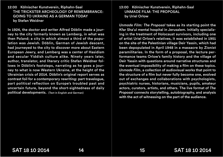12:00 Kölnischer Kunstverein, Riphahn-Saal THE TRICKSTER ARCHEOLOGY OF REMEMBRANCE: GOING TO UKRAINE AS A GERMAN TODAY by Stefan Weidner

In 1924, the doctor and writer Alfred Döblin made a journey to the city formerly known as Lemberg, in what was then Poland; a city in which almost a third of the population was Jewish. Döblin, German of Jewish descent, had journeyed to the city to discover more about Eastern European Jewry, and Lemberg was a center of Hasidism and secular Yiddish culture alike. Ninety years later, author, translator, and literary critic Stefan Weidner follows in Döblin's footsteps, narrating as he goes a journey to what is now Western Ukraine, at the height of the Ukrainian crisis of 2014. Döblin's original report serves as contrast foil for a contemporary rewriting: part travelogue, part political reflection on Europe's troubled past and uncertain future, beyond the short-sightedness of daily political developments. (Text in English and German)

#### 55 54 13:00 Kölnischer Kunstverein, Riphahn-Saal UNMADE FILM: THE PROPOSAL by Uriel Orlow

*Unmade Film: The Proposal* takes as its starting point the Kfar Sha'ul mental hospital in Jerusalem. Initially specializing in the treatment of Holocaust survivors, including one of artist Uriel Orlow's relatives, it was established in 1951 on the site of the Palestinian village Deir Yassin, which had been depopulated in April 1948 in a massacre by Zionist paramilitaries. In the form of a proposal, the lecture performance teams Orlow's family history and the village of Deir Yassin with questions around narrative structures and the eventual impossibility of making a film on these topics. *Unmade Film*, a collection of audiovisual works that point to the structure of a film but never fully become one, evolved out of exchanges and collaborations with psychologists, psychiatric nurses, historians, musicians, pupils, amateur actors, curators, artists, and others. The live format of *The Proposal* connects storytelling, autobiography, and analysis with the act of witnessing on the part of the audience.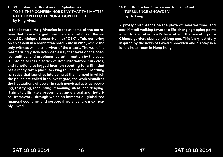#### 15:00 Kölnischer Kunstverein, Riphahn-Saal TO NEITHER CONFIRM NOR DENY THAT THE MATTER NEITHER REFLECTED NOR ABSORBED LIGHT by Haig Aivazian

In this lecture, Haig Aivazian looks at some of the narratives that have emerged from the visualizations of the socalled Dominique Strauss-Kahn or "DSK" affair, centering on an assault in a Manhattan hotel suite in 2011, where the only witness was the survivor of the attack. The work is a mesmerizingly slow live video essay that takes on the poetics, politics, and problematics set in motion by the case. It unfolds across a series of deterritorialized huis clos, and functions as lagged location scouting for a film that has already taken place. Seeking to unearth the unsettling narrative that launches into being at the moment in which the police are called in to investigate, the work visualizes the fluctuations of power in such nonvisual acts as accusing, testifying, recounting, remaining silent, and denying. It aims to ultimately present a strange visual and rhetorical framework, through which an immaterial, globalized financial economy, and corporeal violence, are inextricably linked.

#### 53 52 16:00 Kölnischer Kunstverein, Riphahn-Saal TURBULENCE (SNOWDEN) by Hu Fang

A protagonist stands on the plaza of inverted time, and sees himself walking towards a life-changing tipping point: a trip to a rural activist's funeral and the revisiting of a Chinese garden, abandoned long ago. This is a ghost story inspired by the news of Edward Snowden and his stay in a lonely hotel room in Hong Kong.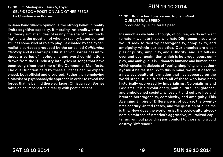#### 19:00 Im Mediapark, Haus 6, Foyer SELF-DECOMPOSITION AND OTHER FEEDS by Christian von Borries

In Jean Baudrillard's opinion, a too strong belief in reality limits cognitive capacity. If morality, rationality, or critical theory aim at an ideal of reality, the age of "user tracking" elicits the question of whether reality-based content still has some kind of role to play. Fascinated by the hyperrealistic surfaces produced by the so-called *Californian Ideology* and its start-ups, Christian von Borries has introduced a series of neologisms and word combinations drawn from the IT industry into lyrics of songs that have been sung since the time of the Communist Manifesto. The dual function held by these surfaces can be experienced, both official and disguised. Rather than employing a Marxist or psychoanalytic approach in order to reveal the forces that lie behind these surfaces, Christian von Borries takes on an impenetrable reality with poetic means.

## 6, Foyer **SUN 19 10 2014**

11:00 Kölnischer Kunstverein, Riphahn-Saal OUR LITERAL SPEED produced by Our Literal Speed

Inasmuch as we hate – though, of course, we do not want to hate! – we hate those who hate Difference: those who would seek to destroy heterogeneity, complexity, and ambiguity within our societies. Our enemies are disciples of purity, simplicity, and authority. And, art tells us over and over again: that which is heterogeneous, complex, and ambiguous is ultimately humane and human; that which speaks in dialects of "purity, simplicity, and authority" must be resisted. With this in mind, we must describe a new sociocultural formation that has appeared on the world stage. It is a friend to all of those who have been historically oppressed by Imperialisms, Colonialisms and Fascisms. It is a revolutionary, multicultural, enlightened, and emboldened society, whose art and culture live and breathe heterogeneity, complexity, and ambiguity. This Avenging Empire of Difference is, of course, the twentyfirst-century United States, and the question of our time is this: How does the world resist the socio-cultural-economic embrace of America's aggressive, militarized capitalism, without providing any comfort to those who would destroy Difference?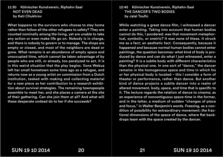11:30 Kölnischer Kunstverein, Riphahn-Saal NOT EVEN DEAD by Keti Chukhrov

What happens to the survivors who choose to stay home rather than follow all the other refugees to safety? They are counted nominally among the living, yet are unable to take any action or even make life go on. Nobody is in charge, and there is nobody to govern or to manage. The shops are empty or closed, and most of the neighbors are dead or gone. What remains is an abundance of empty space and unoccupied time, which cannot be taken advantage of by people who are still, or already, too paralyzed to act. It is in this weird situation that the play begins. Ilona Wekua left her small hometown some time ago as a refugee, and returns now as a young artist on commission from a Dutch institution, tasked with making and collecting material for a new piece as her contribution to a research exhibition about survival strategies. The remaining townspeople assemble to meet her, and she places a camera at the site of their gathering. Can she join them at all? And what will these desperate undead do to her if she succeeds?

#### 49 48 12:45 Kölnischer Kunstverein, Riphahn-Saal THE DANCER'S TWO BODIES by Jalal Toufic

While watching a great dance film, I witnessed a dancer enter a painting. Taking into account that human bodies cannot do this, I pondered: was that movement metaphorical, symbolic, or oneiric? It was none of these. It struck me as a fact; an aesthetic fact. Consequently, because it happened and because normal human bodies cannot enter paintings, the question becomes: what kind of body is produced by dance and can do what I just witnessed, enter a painting? It is a subtle body with different characteristics than the physical one. In one sort of "dance," the dancer remains in the homogenous space and time in which his or her physical body is located – this I consider a form of theater or performance, rather than dance. But another kind of dance projects a subtle dancer into a realm of altered movement, body, space, and time that is specific to it. The lecture regards the relation of dance to cinema; as an experience of noncontiguous space-time in the former, and in the latter, a medium of sudden "changes of place and focus," in Walter Benjamin's words. Freezing, as a condition of possibility for extraordinary movement; the fractional dimensions of the space of dance, where flat backdrops team with the space created by the dancer.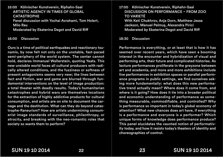15:00 Kölnischer Kunstverein, Riphahn-Saal ARTISTIC AGENCY IN TIMES OF GLOBAL **CATASTROPHE** Panel discussion with Yochai Avrahami, Tom Holert, Milo Rau Moderated by Ekaterina Degot and David Rif

16:00 Discussion

Ours is a time of political earthquakes and reactionary tsunamis, by now felt not only on the unstable, fast-paced semi-periphery of the world system. The center cannot hold, declares Immanuel Wallerstein, quoting Yeats. This new unstable world faces all cultural producers with radically altered conditions, and the fuzziness or softness of present antagonisms seems very new; the lines between fact and fiction, war and game are blurred through fundamental interventions on the level of image production: a total theater with deadly results. Today's humanitarian catastrophes and hybrid wars are themselves locations for the extraction of highly addictive products for cultural consumption, and artists are on site to document the carnage and the destitution. What can they do beyond catastrophe-flaneurism? How are artists undermining consumerist image standards of surveillance, philanthropy, or atrocity, and breaking with the neo-romantic roles that society so wants them to perform?

47 46 17:00 Kölnischer Kunstverein, Riphahn-Saal DISCUSSION ON PERFORMANCE – FROM ZOO TO VARIETÉ With Keti Chukhrov, Anja Dorn, Matthew Jesse Jackson, Manuel Pelmuş, Alexandra Pirici Moderated by Ekaterina Degot and David Rif

18:30 Discussion

Performance is everything, or at least that is how it has seemed over recent years, which have seen a booming interest in the encounter and hybridization of visual and performing arts, their future and complicated histories. As lecture performances proliferate in the greyzone between art and academia, and more and more exhibitions include live performances in exhibition spaces or parallel performance programs in public settings, we find ourselves asking more fundamentally: what does this new performative trend actually mean? Where does it come from, and where is it going? How does it tie into a broader political and economic understanding of performance as something measurable, commodifiable, and controlled? Why is performance so important in today's global economy of attention? What new chances does art have, if everything is a performance and everyone is a performer? Which unique forms of knowledge does performance produce? This panel elucidates the vaunted notion of performativity today, and how it resists today's theaters of identity and choreographies of control.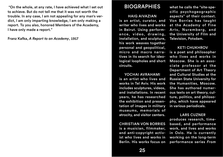"On the whole, at any rate, I have achieved what I set out  $\qquad \qquad \text{BIOGRAPHIES} \qquad \text{or}$ to achieve. But do not tell me that it was not worth the trouble. In any case, I am not appealing for any man's verdict, I am only imparting knowledge, I am only making a report. To you also, honored Members of the Academy, I have only made a report."

Franz Kafka, *A Report to an Academy*, 1917

## BIOGRAPHIES

HAIG AIVAZIAN is an artist, curator, and writer who lives and works in Beirut. Using performance, video, drawing, installation, and sculpture, his work weaves together personal and geopolitical, micro and macro narratives in its search for ideological loopholes and short circuits.

#### YOCHAI AVRAHAMI

is an artist who lives and works in Tel Aviv. His work includes sculptures, videos, and installations. In recent years, he has researched the exhibition and presentation of images in military museums, memorials of atrocity, and visitor centers.

CHRISTIAN VON BORRIES is a musician, filmmaker, and anti-copyright activist who lives and works in Berlin. His works focus on what he calls the "site-specific psychogeographic aspects" of their context. Von Borries has taught at the Academy of Fine Arts, Nuremberg, and the University of Film and Television, Potsdam.

#### KETI CHUKHROV

is a poet and philosopher who lives and works in Moscow. She is an associate professor at the Department of Art Theory and Cultural Studies at the Russian State University for the Humanities, Moscow. She has authored numerous texts on art theory, culture, politics, and philosophy, which have appeared in various periodicals.

#### LARS CUZNER

produces research, timebased, and performance work, and lives and works in Oslo. He is currently working on the long-term performance series *From*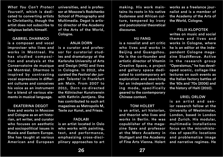*What You Can't Protect Yourself*, which is dedicated to converting artists to Christianity, though the artist does not subscribe to religious beliefs himself.

#### GABRIEL DHARMOO

is a composer and vocal improviser who lives and works in Montreal. He has studied composition and analysis at the Conservatoire de musique de Montréal. Dharmoo is inspired by contrasting vocal expressions in different cultures and conceives his voice as an instrument for a blend of various elements in musical language.

EKATERINA DEGOT lives and works in Moscow and Cologne as an art historian, art writer, and curator who focuses on aesthetic and sociopolitical issues in Russia and Eastern Europe. She has taught at various American and European

t universities, and is profes- In aking. His work mainuniversities, and is professor at Moscow's Rodchenko School of Photography and Multimedia. Degot is artistic director of the Academy of the Arts of the World, Cologne.

ANJA DORN is a curator and professor for curatorial studies and dramaturgy at the Karlsruhe University of Arts and Design (HfG) and lives in Cologne. In 2012, she curated the *Festival der jungen Talente!* in Frankfurt am Main. From 2007 to 2011, Dorn co-directed the Kölnischer Kunstverein with Kathrin Jentjens. She has contributed to such art magazines as Metropolis M, Texte zur Kunst, and Frieze.

#### FADLABI

is an artist located in Oslo who works with painting, text, and performance, emphasizing cross-disciplinary approaches to art tains its roots in his native Sudanese and African culture, tempered by irony and postcolonial theoretical discourse.

#### HU FANG

is a novelist and art critic who lives and works in Beijing and Guangzhou. He is the co-founder and artistic director of Vitamin Creative Space, a project and gallery space dedicated to contemporary art exploration and searching for an independent working mode, specifically geared to the contemporary Chinese context.

#### TOM HOLERT

is an artist, art historian, and theorist who lives and works in Berlin. He was copublisher of the magazine Spex and professor at the Merz Academy in Stuttgart and the Academy of Fine Arts Vienna. Holert works as a freelance journalist and is a member of the Academy of the Arts of the World, Cologne.

#### FELIX KLOPOTEK

writes on music and social themes and lives and works in Cologne, where he is an editor at the independent Cologne magazine StadtRevue. Active in the research group "Operaismus," he has developed scenic, collage-like lectures on such events as the Italian factory battles of the '60s and '70s (2006) and the history of Haiti (2010).

#### URIEL ORLOW

is an artist and senior research fellow at the University of Westminster, London, based in London and Zurich. His modular, multimedia installations focus on the microhistories of specific locations and problematize image and narrative regimes. He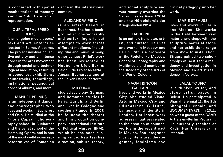is concerned with spatial manifestations of memory and the "blind spots" of representation.

#### OUR LITERAL SPEED (OLS)

is an ongoing media opera/ text-and-art enterprise located in Selma, Alabama. The project involves collective activity and an intense concern for art's movement through social and technological mediation, resulting in speeches, exhibitions, soundtracks, recordings, installations, pedagogical concept albums, and more.

#### MANUEL PELMUŞ

is an independent dancer and choreographer who lives and works in Bucharest and Oslo. He studied at the "Floria Capsali" choreography school in Bucharest and the ballet school of the Hamburg Opera, and is one of the most well-known representatives of Romanian

dance in the international | and social sculpture and ( context.

ALEXANDRA PIRICI is an artist based in Bucharest. She has a background in choreography and performing arts but attempts to work across different mediums, including film and music. Among other venues, Pirici's work has been presented at Hebbel am Ufer, Berlin; Salonul de Proiecte/MNAC Anexa, Bucharest; and at the Balkan Dance Platform.

#### MILO RAU

studied sociology, German, and Romance studies in Paris, Zurich, and Berlin and lives in Cologne and southern France. In 2007, he founded the theater and film production company International Institute of Political Murder (IIPM), which he has been running since. Rau teaches direction, cultural theory, and social sculpture and was recently awarded the Swiss Theatre Award 2014 and the Hörspielpreis der Kriegsblinden 2014.

#### DAVID RIFF

is an author, translator, artist, and curator. He lives and works in Moscow and Berlin. Riff is a professor at the Rodchenko Moscow School of Photography and Multimedia and member of the Academy of the Arts of the World, Cologne.

#### NAOMI RINCÓN GALLARDO

lives and works in Mexico City. She studied Visual Arts in Mexico City and Education: Culture, Language and Identity in London. Her latest work adresses initiatives related to the creation of counterworlds in the recent past in Mexico. She integrates music, literature, theater games, feminisms and

critical pedagogy into her work.

MARIE STRAUSS lives and works in Berlin and Mexico. She works in the field between raw material and shape with the sculpture material stone and her exhibitions range from show to installation. Strauss gained two scholarships of DAAD for a residency and investigation in Mexico and an artist residence in Norway.

#### JALAL TOUFIC

is a thinker, writer, and video artist based in Beirut. He participated in Sharjah Biennial 11, the 9th Shanghai Biennale, and dOCUMENTA (13). In 2011, he was a guest of the DAAD Artists-in-Berlin Program. He currently teaches at Kadir Has University in Istanbul.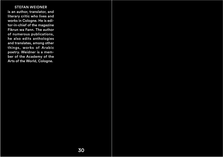STEFAN WEIDNER is an author, translator, and literary critic who lives and works in Cologne. He is editor-in-chief of the magazine Fikrun wa Fann. The author of numerous publications, he also edits anthologies and translates, among other things, works of Arabic poetry. Weidner is a member of the Academy of the Arts of the World, Cologne.